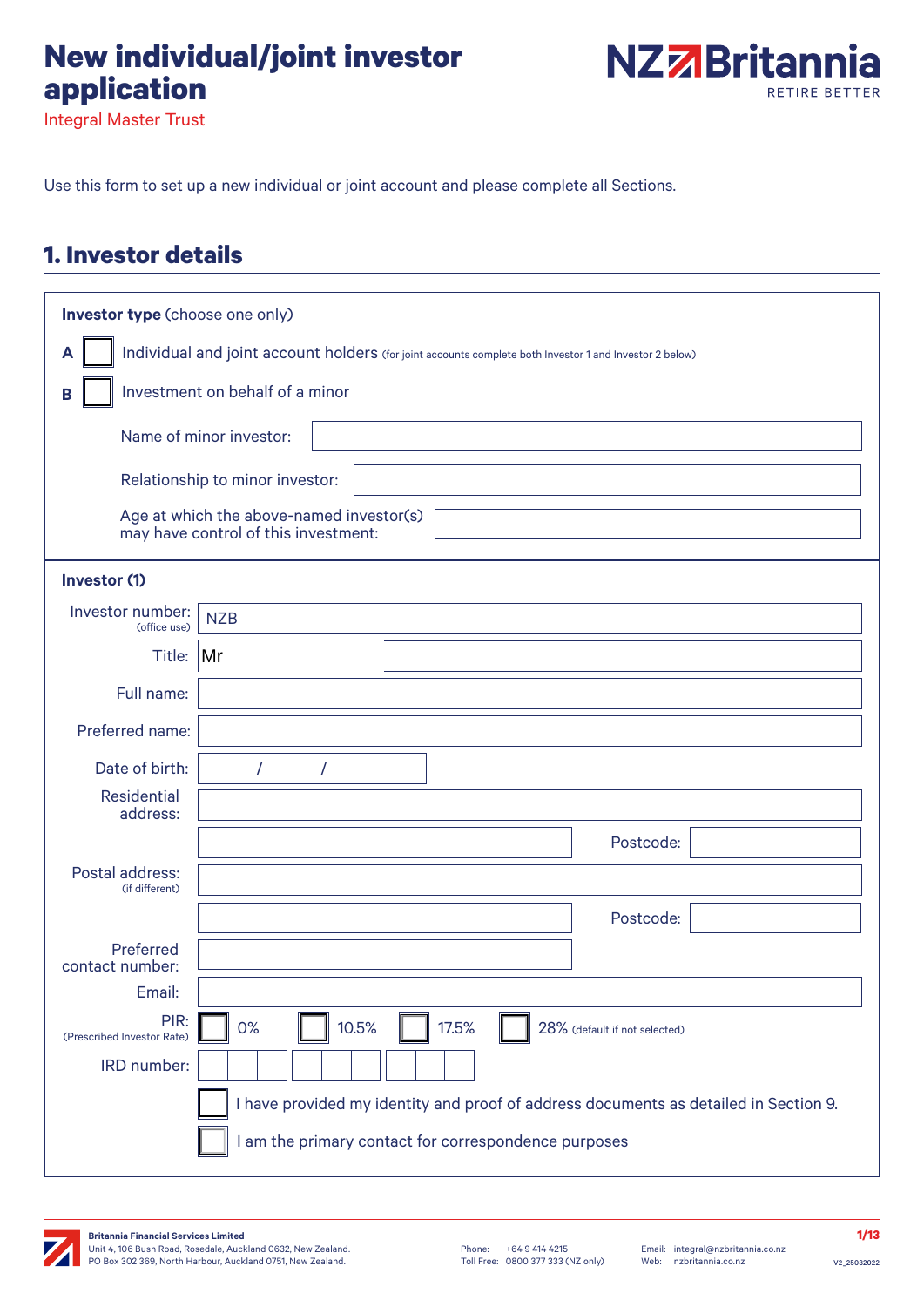# **New individual/joint investor application**



Integral Master Trust

Use this form to set up a new individual or joint account and please complete all Sections.

## **1. Investor details**

| Investor type (choose one only)                                                                              |                                                                                      |  |  |  |  |  |  |  |
|--------------------------------------------------------------------------------------------------------------|--------------------------------------------------------------------------------------|--|--|--|--|--|--|--|
| Individual and joint account holders (for joint accounts complete both Investor 1 and Investor 2 below)<br>A |                                                                                      |  |  |  |  |  |  |  |
| Investment on behalf of a minor<br>в                                                                         |                                                                                      |  |  |  |  |  |  |  |
|                                                                                                              | Name of minor investor:                                                              |  |  |  |  |  |  |  |
|                                                                                                              | Relationship to minor investor:                                                      |  |  |  |  |  |  |  |
|                                                                                                              |                                                                                      |  |  |  |  |  |  |  |
|                                                                                                              | Age at which the above-named investor(s)<br>may have control of this investment:     |  |  |  |  |  |  |  |
| Investor (1)                                                                                                 |                                                                                      |  |  |  |  |  |  |  |
| Investor number:<br>(office use)                                                                             | <b>NZB</b>                                                                           |  |  |  |  |  |  |  |
| Title: Mr                                                                                                    |                                                                                      |  |  |  |  |  |  |  |
| Full name:                                                                                                   |                                                                                      |  |  |  |  |  |  |  |
| Preferred name:                                                                                              |                                                                                      |  |  |  |  |  |  |  |
| Date of birth:                                                                                               | 7<br>7                                                                               |  |  |  |  |  |  |  |
| <b>Residential</b><br>address:                                                                               |                                                                                      |  |  |  |  |  |  |  |
|                                                                                                              | Postcode:                                                                            |  |  |  |  |  |  |  |
| Postal address:<br>(if different)                                                                            |                                                                                      |  |  |  |  |  |  |  |
|                                                                                                              | Postcode:                                                                            |  |  |  |  |  |  |  |
| Preferred<br>contact number:                                                                                 |                                                                                      |  |  |  |  |  |  |  |
| Email:                                                                                                       |                                                                                      |  |  |  |  |  |  |  |
| PIR:<br>(Prescribed Investor Rate)                                                                           | 10.5%<br>0%<br>17.5%<br>28% (default if not selected)                                |  |  |  |  |  |  |  |
| IRD number:                                                                                                  |                                                                                      |  |  |  |  |  |  |  |
|                                                                                                              | I have provided my identity and proof of address documents as detailed in Section 9. |  |  |  |  |  |  |  |
|                                                                                                              | I am the primary contact for correspondence purposes                                 |  |  |  |  |  |  |  |

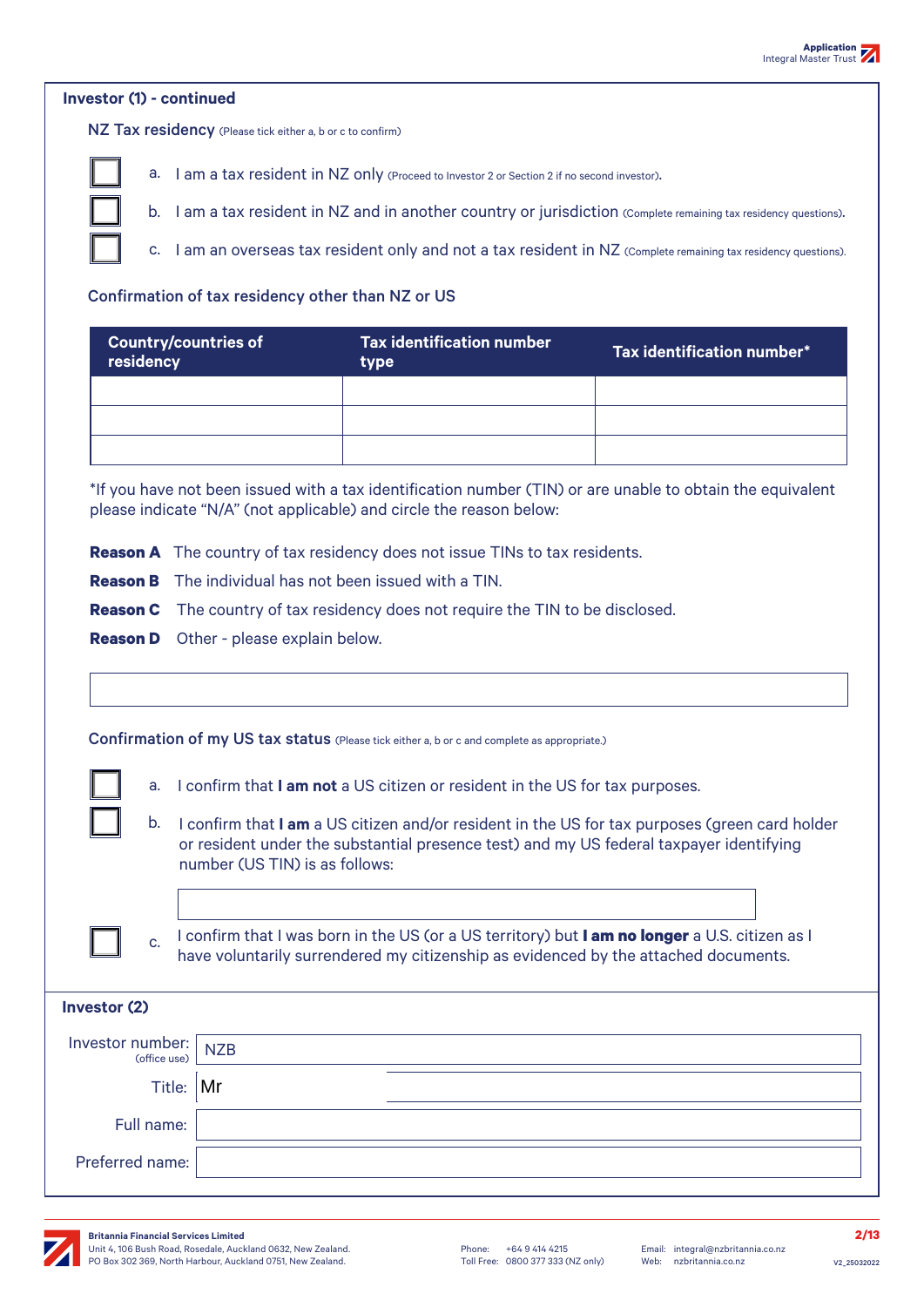#### **Investor (1) - continued**

NZ Tax residency (Please tick either a, b or c to confirm)



a. I am a tax resident in NZ only (Proceed to Investor 2 or Section 2 if no second investor).

b. I am a tax resident in NZ and in another country or jurisdiction (Complete remaining tax residency questions).

c. I am an overseas tax resident only and not a tax resident in NZ (Complete remaining tax residency questions).

#### Confirmation of tax residency other than NZ or US

| <b>Country/countries of</b><br>residency | <b>Tax identification number</b><br>type | Tax identification number* |  |  |
|------------------------------------------|------------------------------------------|----------------------------|--|--|
|                                          |                                          |                            |  |  |
|                                          |                                          |                            |  |  |
|                                          |                                          |                            |  |  |

\*If you have not been issued with a tax identification number (TIN) or are unable to obtain the equivalent please indicate "N/A" (not applicable) and circle the reason below:

**Reason A** The country of tax residency does not issue TINs to tax residents.

**Reason B** The individual has not been issued with a TIN.

**Reason C** The country of tax residency does not require the TIN to be disclosed.

**Reason D** Other - please explain below.

|                  |                                                                                                                                                                                                         | <b>Confirmation of my US tax status</b> (Please tick either a, b or c and complete as appropriate.)                                                                                                                         |  |  |  |  |  |  |  |
|------------------|---------------------------------------------------------------------------------------------------------------------------------------------------------------------------------------------------------|-----------------------------------------------------------------------------------------------------------------------------------------------------------------------------------------------------------------------------|--|--|--|--|--|--|--|
|                  | a.                                                                                                                                                                                                      | I confirm that I am not a US citizen or resident in the US for tax purposes.                                                                                                                                                |  |  |  |  |  |  |  |
|                  | b.                                                                                                                                                                                                      | I confirm that I am a US citizen and/or resident in the US for tax purposes (green card holder<br>or resident under the substantial presence test) and my US federal taxpayer identifying<br>number (US TIN) is as follows: |  |  |  |  |  |  |  |
|                  |                                                                                                                                                                                                         |                                                                                                                                                                                                                             |  |  |  |  |  |  |  |
|                  | I confirm that I was born in the US (or a US territory) but <b>I am no longer</b> a U.S. citizen as I<br>$C_{n}$<br>have voluntarily surrendered my citizenship as evidenced by the attached documents. |                                                                                                                                                                                                                             |  |  |  |  |  |  |  |
| Investor (2)     |                                                                                                                                                                                                         |                                                                                                                                                                                                                             |  |  |  |  |  |  |  |
| Investor number: | (office use)                                                                                                                                                                                            | <b>NZB</b>                                                                                                                                                                                                                  |  |  |  |  |  |  |  |
|                  | Title:                                                                                                                                                                                                  | Mr                                                                                                                                                                                                                          |  |  |  |  |  |  |  |
|                  | Full name:                                                                                                                                                                                              |                                                                                                                                                                                                                             |  |  |  |  |  |  |  |
| Preferred name:  |                                                                                                                                                                                                         |                                                                                                                                                                                                                             |  |  |  |  |  |  |  |
|                  |                                                                                                                                                                                                         |                                                                                                                                                                                                                             |  |  |  |  |  |  |  |

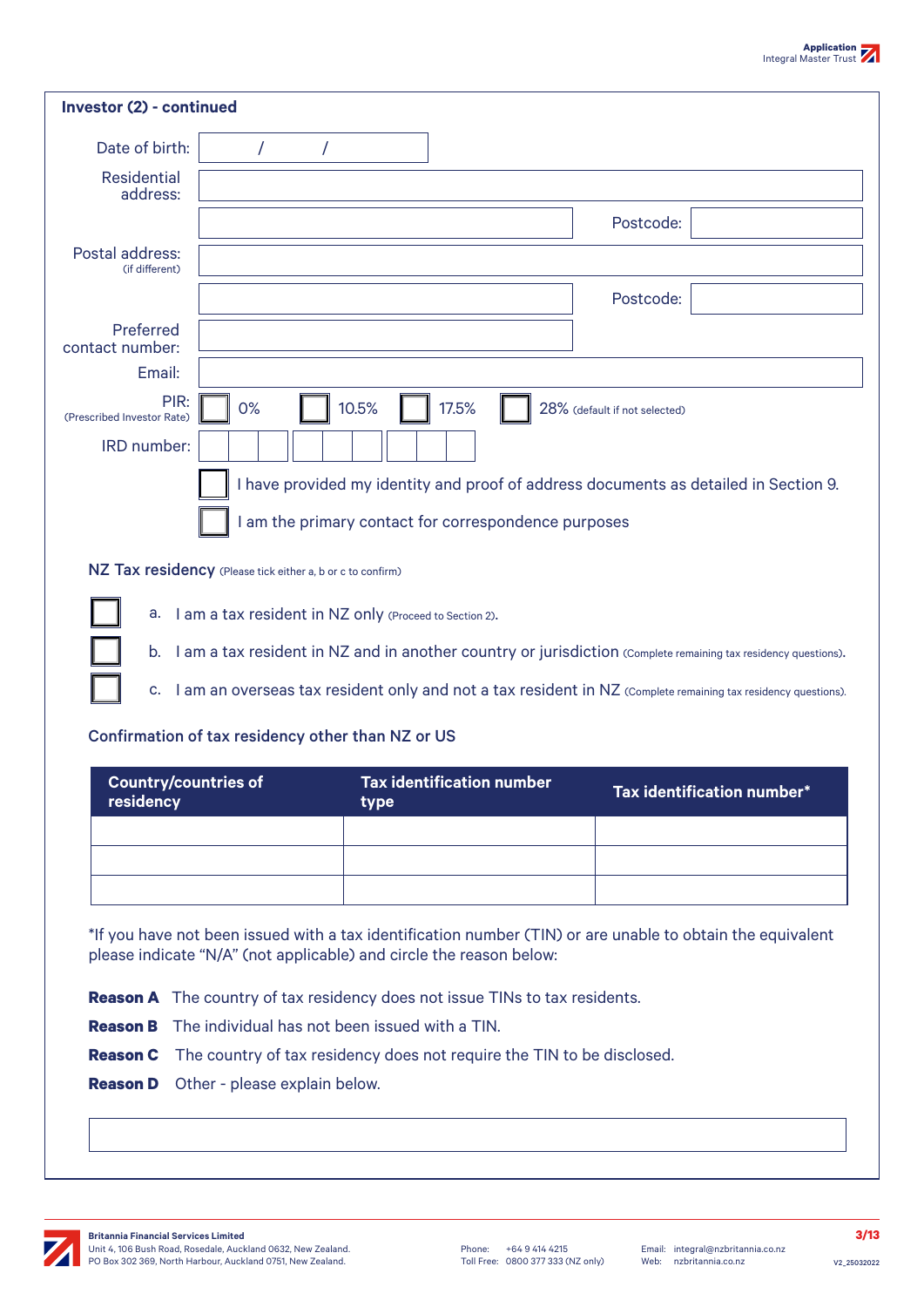| а.                                 | I am a tax resident in NZ only (Proceed to Section 2).     |                                                      |       |                               |                                                                                                                |
|------------------------------------|------------------------------------------------------------|------------------------------------------------------|-------|-------------------------------|----------------------------------------------------------------------------------------------------------------|
|                                    |                                                            |                                                      |       |                               |                                                                                                                |
|                                    |                                                            |                                                      |       |                               |                                                                                                                |
| b.                                 |                                                            |                                                      |       |                               |                                                                                                                |
|                                    |                                                            |                                                      |       |                               |                                                                                                                |
|                                    |                                                            |                                                      |       |                               |                                                                                                                |
|                                    |                                                            |                                                      |       |                               |                                                                                                                |
|                                    |                                                            |                                                      |       |                               |                                                                                                                |
|                                    |                                                            |                                                      |       |                               |                                                                                                                |
|                                    |                                                            |                                                      |       |                               | I am a tax resident in NZ and in another country or jurisdiction (Complete remaining tax residency questions). |
|                                    |                                                            |                                                      |       |                               |                                                                                                                |
|                                    |                                                            |                                                      |       |                               |                                                                                                                |
|                                    |                                                            |                                                      |       |                               |                                                                                                                |
|                                    |                                                            |                                                      |       |                               |                                                                                                                |
|                                    |                                                            |                                                      |       |                               |                                                                                                                |
|                                    | NZ Tax residency (Please tick either a, b or c to confirm) |                                                      |       |                               |                                                                                                                |
|                                    |                                                            |                                                      |       |                               |                                                                                                                |
|                                    |                                                            |                                                      |       |                               |                                                                                                                |
|                                    |                                                            | I am the primary contact for correspondence purposes |       |                               |                                                                                                                |
|                                    |                                                            |                                                      |       |                               | I have provided my identity and proof of address documents as detailed in Section 9.                           |
|                                    |                                                            |                                                      |       |                               |                                                                                                                |
| <b>IRD</b> number:                 |                                                            |                                                      |       |                               |                                                                                                                |
|                                    |                                                            |                                                      |       |                               |                                                                                                                |
| PIR:<br>(Prescribed Investor Rate) | 0%                                                         | 10.5%                                                | 17.5% | 28% (default if not selected) |                                                                                                                |
|                                    |                                                            |                                                      |       |                               |                                                                                                                |
| Email:                             |                                                            |                                                      |       |                               |                                                                                                                |
| contact number:                    |                                                            |                                                      |       |                               |                                                                                                                |
| Preferred                          |                                                            |                                                      |       |                               |                                                                                                                |
|                                    |                                                            |                                                      |       | Postcode:                     |                                                                                                                |
| (if different)                     |                                                            |                                                      |       |                               |                                                                                                                |
| Postal address:                    |                                                            |                                                      |       |                               |                                                                                                                |
|                                    |                                                            |                                                      |       |                               |                                                                                                                |
|                                    |                                                            |                                                      |       | Postcode:                     |                                                                                                                |
| address:                           |                                                            |                                                      |       |                               |                                                                                                                |
| <b>Residential</b>                 |                                                            |                                                      |       |                               |                                                                                                                |
|                                    |                                                            |                                                      |       |                               |                                                                                                                |

- **Reason B** The individual has not been issued with a TIN.
- **Reason C** The country of tax residency does not require the TIN to be disclosed.
- **Reason D** Other please explain below.

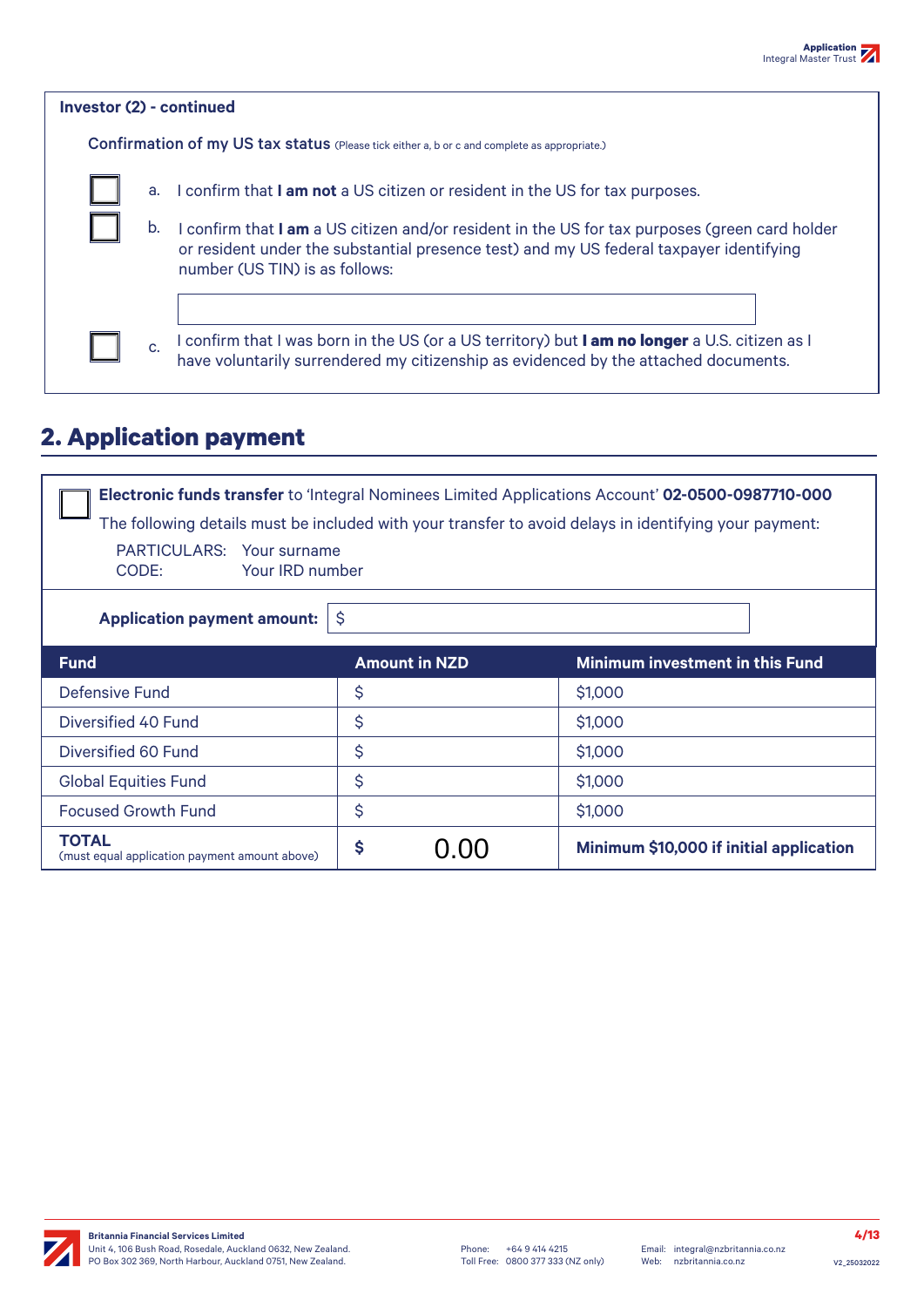| <b>Investor (2) - continued</b> |                                                                                                                                                                                                                           |  |  |  |  |  |  |
|---------------------------------|---------------------------------------------------------------------------------------------------------------------------------------------------------------------------------------------------------------------------|--|--|--|--|--|--|
|                                 | <b>Confirmation of my US tax status</b> (Please tick either a, b or c and complete as appropriate.)                                                                                                                       |  |  |  |  |  |  |
| а.                              | I confirm that I am not a US citizen or resident in the US for tax purposes.                                                                                                                                              |  |  |  |  |  |  |
| b.                              | confirm that I am a US citizen and/or resident in the US for tax purposes (green card holder<br>or resident under the substantial presence test) and my US federal taxpayer identifying<br>number (US TIN) is as follows: |  |  |  |  |  |  |
| C <sub>1</sub>                  | I confirm that I was born in the US (or a US territory) but <b>I am no longer</b> a U.S. citizen as I<br>have voluntarily surrendered my citizenship as evidenced by the attached documents.                              |  |  |  |  |  |  |

# **2. Application payment**

| <b>Electronic funds transfer</b> to 'Integral Nominees Limited Applications Account' 02-0500-0987710-000<br>The following details must be included with your transfer to avoid delays in identifying your payment:<br>PARTICULARS: Your surname<br>CODE:<br>Your IRD number |                                                                 |                                         |  |  |  |  |  |
|-----------------------------------------------------------------------------------------------------------------------------------------------------------------------------------------------------------------------------------------------------------------------------|-----------------------------------------------------------------|-----------------------------------------|--|--|--|--|--|
| $\hat{\mathsf{S}}$<br><b>Application payment amount:</b>                                                                                                                                                                                                                    |                                                                 |                                         |  |  |  |  |  |
| <b>Fund</b>                                                                                                                                                                                                                                                                 | <b>Amount in NZD</b>                                            | <b>Minimum investment in this Fund</b>  |  |  |  |  |  |
| Defensive Fund                                                                                                                                                                                                                                                              | \$                                                              | \$1,000                                 |  |  |  |  |  |
| Diversified 40 Fund                                                                                                                                                                                                                                                         | \$                                                              | \$1,000                                 |  |  |  |  |  |
| Diversified 60 Fund                                                                                                                                                                                                                                                         | \$                                                              | \$1,000                                 |  |  |  |  |  |
| <b>Global Equities Fund</b>                                                                                                                                                                                                                                                 | \$                                                              | \$1,000                                 |  |  |  |  |  |
| <b>Focused Growth Fund</b>                                                                                                                                                                                                                                                  | \$                                                              | \$1,000                                 |  |  |  |  |  |
| <b>TOTAL</b><br>(must equal application payment amount above)                                                                                                                                                                                                               | \$<br>$\left( \begin{array}{c} 1 \\ 0 \\ 0 \end{array} \right)$ | Minimum \$10,000 if initial application |  |  |  |  |  |

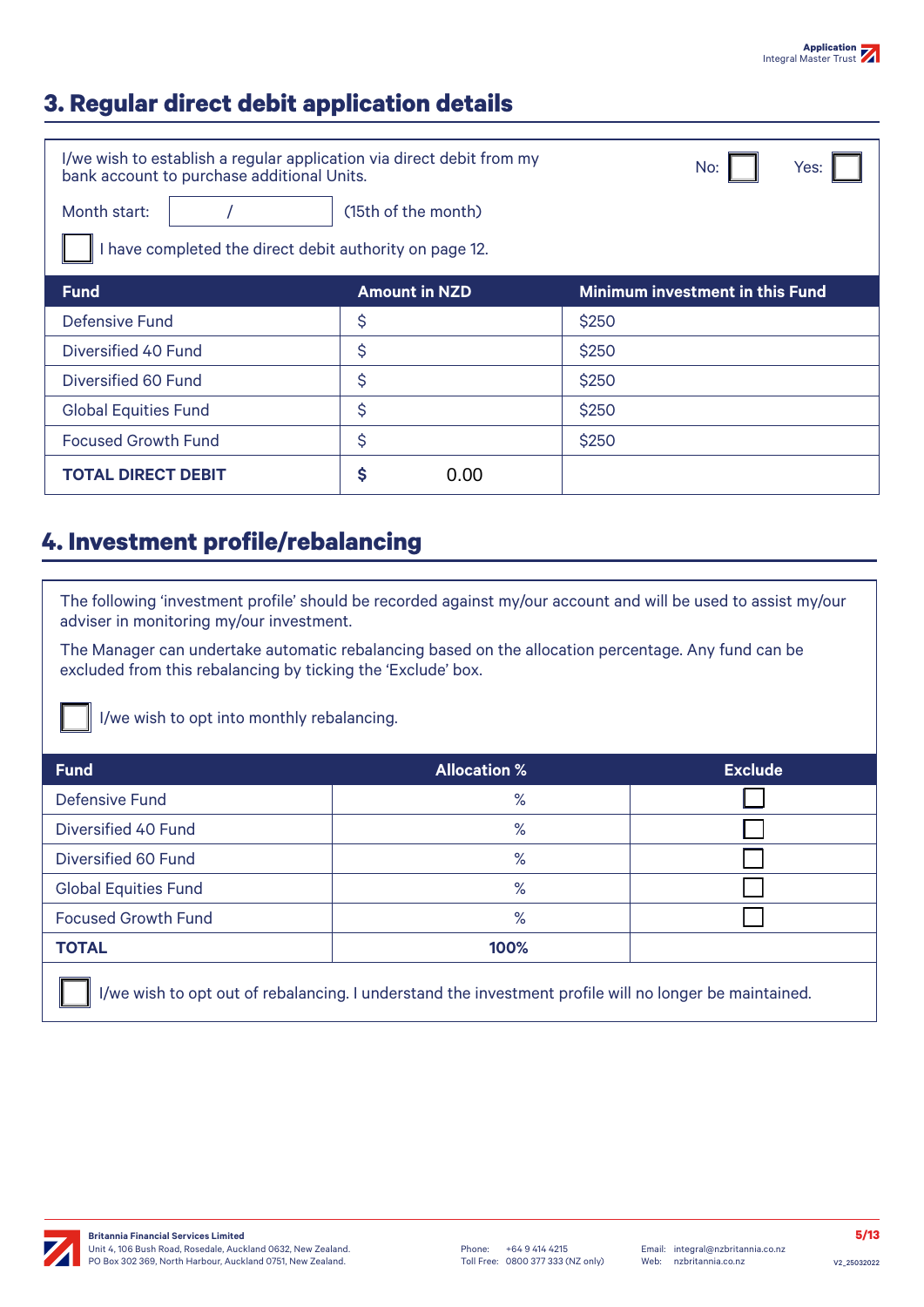# **3. Regular direct debit application details**

| I/we wish to establish a regular application via direct debit from my<br>bank account to purchase additional Units. | Yes:<br>No:                     |       |  |  |  |  |  |
|---------------------------------------------------------------------------------------------------------------------|---------------------------------|-------|--|--|--|--|--|
| Month start:                                                                                                        | (15th of the month)             |       |  |  |  |  |  |
| I have completed the direct debit authority on page 12.                                                             |                                 |       |  |  |  |  |  |
| <b>Fund</b>                                                                                                         | Minimum investment in this Fund |       |  |  |  |  |  |
| Defensive Fund                                                                                                      | \$                              | \$250 |  |  |  |  |  |
| Diversified 40 Fund                                                                                                 | \$                              | \$250 |  |  |  |  |  |
| Diversified 60 Fund                                                                                                 | \$                              | \$250 |  |  |  |  |  |
| <b>Global Equities Fund</b>                                                                                         | \$                              | \$250 |  |  |  |  |  |
| <b>Focused Growth Fund</b>                                                                                          | \$                              | \$250 |  |  |  |  |  |
| <b>TOTAL DIRECT DEBIT</b>                                                                                           | \$<br>0.00                      |       |  |  |  |  |  |

### **4. Investment profile/rebalancing**

The following 'investment profile' should be recorded against my/our account and will be used to assist my/our adviser in monitoring my/our investment.

The Manager can undertake automatic rebalancing based on the allocation percentage. Any fund can be excluded from this rebalancing by ticking the 'Exclude' box.

I/we wish to opt into monthly rebalancing.

| <b>Fund</b>                                                                                            | <b>Allocation %</b> | <b>Exclude</b> |  |  |  |  |  |
|--------------------------------------------------------------------------------------------------------|---------------------|----------------|--|--|--|--|--|
| <b>Defensive Fund</b>                                                                                  | $\%$                |                |  |  |  |  |  |
| Diversified 40 Fund                                                                                    | $\%$                |                |  |  |  |  |  |
| Diversified 60 Fund                                                                                    | $\%$                |                |  |  |  |  |  |
| <b>Global Equities Fund</b>                                                                            | $\%$                |                |  |  |  |  |  |
| <b>Focused Growth Fund</b>                                                                             | $\%$                |                |  |  |  |  |  |
| <b>TOTAL</b>                                                                                           | 100%                |                |  |  |  |  |  |
| I/we wish to opt out of rebalancing. I understand the investment profile will no longer be maintained. |                     |                |  |  |  |  |  |

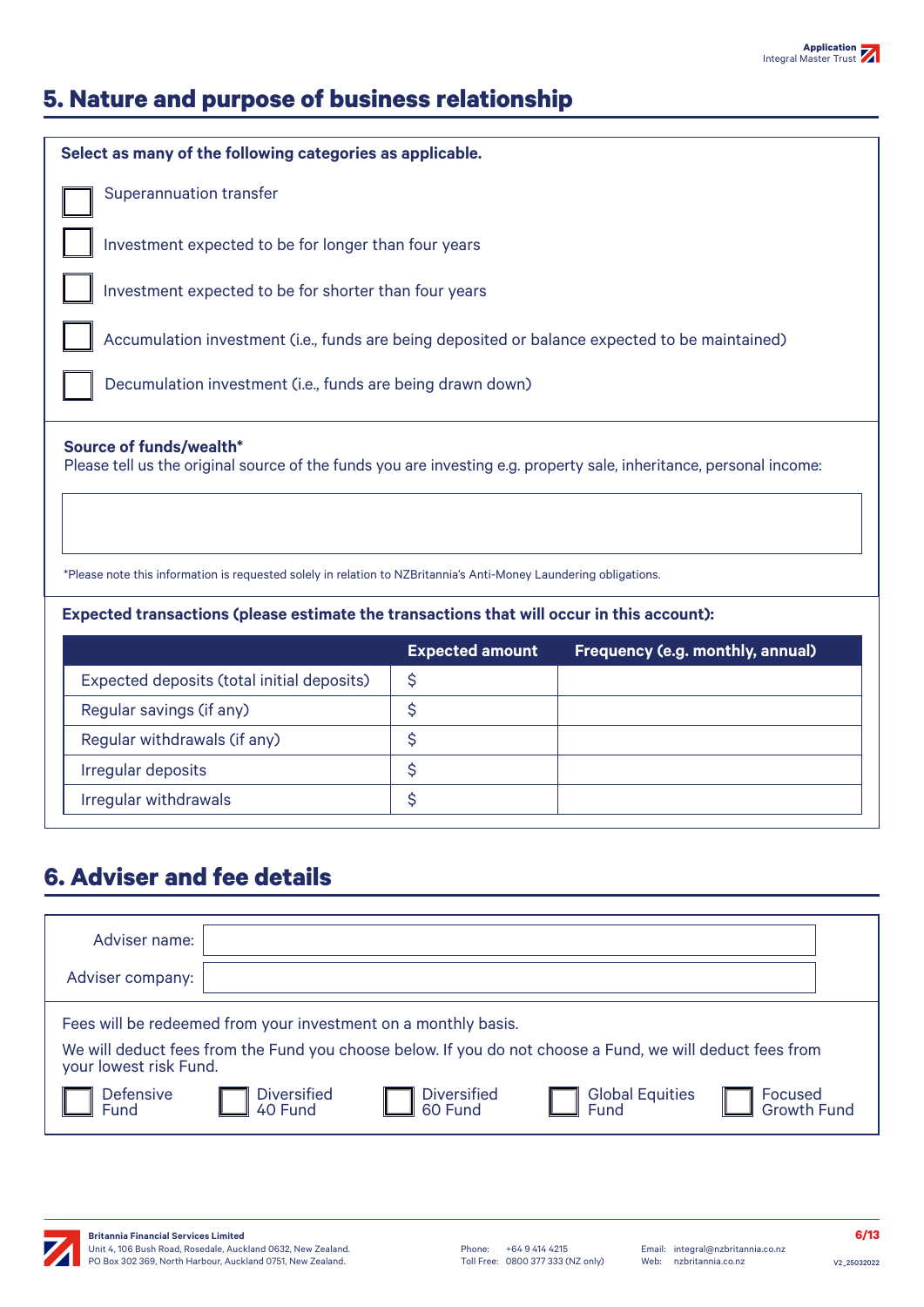

# **5. Nature and purpose of business relationship**

| Select as many of the following categories as applicable.                                                                                                                                                                                                           |                        |                                  |  |  |  |  |  |  |
|---------------------------------------------------------------------------------------------------------------------------------------------------------------------------------------------------------------------------------------------------------------------|------------------------|----------------------------------|--|--|--|--|--|--|
| <b>Superannuation transfer</b>                                                                                                                                                                                                                                      |                        |                                  |  |  |  |  |  |  |
| Investment expected to be for longer than four years                                                                                                                                                                                                                |                        |                                  |  |  |  |  |  |  |
| Investment expected to be for shorter than four years                                                                                                                                                                                                               |                        |                                  |  |  |  |  |  |  |
| Accumulation investment (i.e., funds are being deposited or balance expected to be maintained)                                                                                                                                                                      |                        |                                  |  |  |  |  |  |  |
| Decumulation investment (i.e., funds are being drawn down)                                                                                                                                                                                                          |                        |                                  |  |  |  |  |  |  |
| Source of funds/wealth*<br>Please tell us the original source of the funds you are investing e.g. property sale, inheritance, personal income:<br>*Please note this information is requested solely in relation to NZBritannia's Anti-Money Laundering obligations. |                        |                                  |  |  |  |  |  |  |
| Expected transactions (please estimate the transactions that will occur in this account):                                                                                                                                                                           |                        |                                  |  |  |  |  |  |  |
|                                                                                                                                                                                                                                                                     | <b>Expected amount</b> | Frequency (e.g. monthly, annual) |  |  |  |  |  |  |
| Expected deposits (total initial deposits)                                                                                                                                                                                                                          | \$                     |                                  |  |  |  |  |  |  |
| Regular savings (if any)                                                                                                                                                                                                                                            | \$                     |                                  |  |  |  |  |  |  |
| Regular withdrawals (if any)                                                                                                                                                                                                                                        | \$                     |                                  |  |  |  |  |  |  |
| Irregular deposits                                                                                                                                                                                                                                                  | \$                     |                                  |  |  |  |  |  |  |
| Irregular withdrawals                                                                                                                                                                                                                                               | \$                     |                                  |  |  |  |  |  |  |

## **6. Adviser and fee details**

| Adviser name:            |                               |                                                                |                                                                                                           |                               |
|--------------------------|-------------------------------|----------------------------------------------------------------|-----------------------------------------------------------------------------------------------------------|-------------------------------|
| Adviser company:         |                               |                                                                |                                                                                                           |                               |
|                          |                               | Fees will be redeemed from your investment on a monthly basis. | We will deduct fees from the Fund you choose below. If you do not choose a Fund, we will deduct fees from |                               |
| your lowest risk Fund.   |                               |                                                                |                                                                                                           |                               |
| <b>Defensive</b><br>Fund | <b>Diversified</b><br>40 Fund | <b>Diversified</b><br>60 Fund                                  | <b>Global Equities</b><br><b>Fund</b>                                                                     | Focused<br><b>Growth Fund</b> |
|                          |                               |                                                                |                                                                                                           |                               |

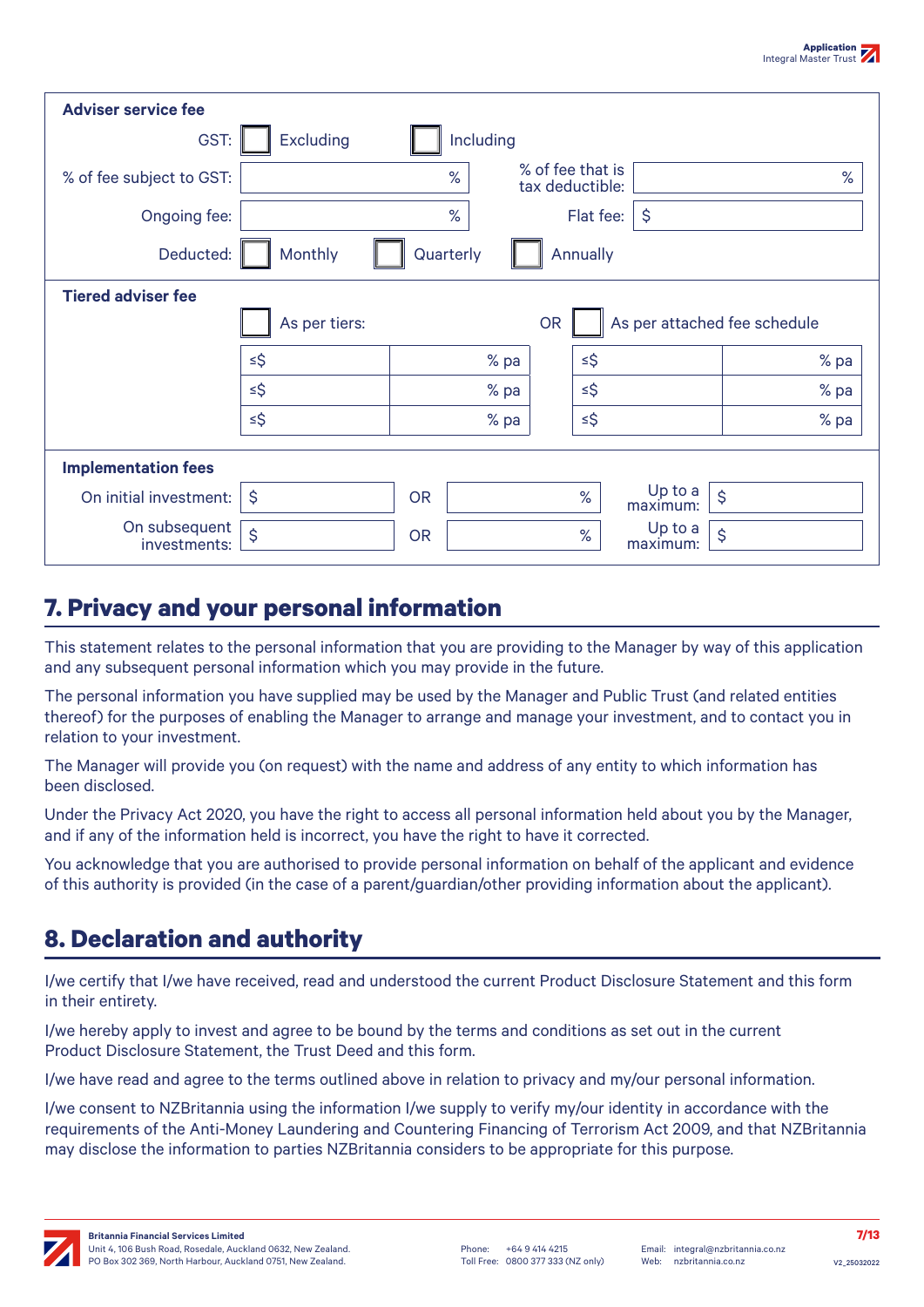| <b>Adviser service fee</b>    |               |           |           |           |                                     |                     |                              |
|-------------------------------|---------------|-----------|-----------|-----------|-------------------------------------|---------------------|------------------------------|
| GST:                          | Excluding     |           | Including |           |                                     |                     |                              |
| % of fee subject to GST:      |               | $\%$      |           |           | % of fee that is<br>tax deductible: |                     | %                            |
| Ongoing fee:                  |               | %         |           |           | Flat fee:                           | $\hat{\mathsf{S}}$  |                              |
| Deducted:                     | Monthly       | Quarterly |           |           | Annually                            |                     |                              |
| <b>Tiered adviser fee</b>     |               |           |           |           |                                     |                     |                              |
|                               | As per tiers: |           |           | <b>OR</b> |                                     |                     | As per attached fee schedule |
|                               | $\leq$ \$     |           | % pa      |           | $\leq$ \$                           |                     | % pa                         |
|                               | $\leq$ \$     |           | % pa      |           | $\leq$ \$                           |                     | % pa                         |
|                               | $\leq$ \$     |           | % pa      |           | $\leq$ \$                           |                     | % pa                         |
| <b>Implementation fees</b>    |               |           |           |           |                                     |                     |                              |
| On initial investment:        | \$            | <b>OR</b> |           |           | $\%$                                | Up to a<br>maximum: | \$                           |
| On subsequent<br>investments: | \$            | <b>OR</b> |           |           | $\%$                                | Up to a<br>maximum: | \$                           |

### **7. Privacy and your personal information**

This statement relates to the personal information that you are providing to the Manager by way of this application and any subsequent personal information which you may provide in the future.

The personal information you have supplied may be used by the Manager and Public Trust (and related entities thereof) for the purposes of enabling the Manager to arrange and manage your investment, and to contact you in relation to your investment.

The Manager will provide you (on request) with the name and address of any entity to which information has been disclosed.

Under the Privacy Act 2020, you have the right to access all personal information held about you by the Manager, and if any of the information held is incorrect, you have the right to have it corrected.

You acknowledge that you are authorised to provide personal information on behalf of the applicant and evidence of this authority is provided (in the case of a parent/guardian/other providing information about the applicant).

# **8. Declaration and authority**

I/we certify that I/we have received, read and understood the current Product Disclosure Statement and this form in their entirety.

I/we hereby apply to invest and agree to be bound by the terms and conditions as set out in the current Product Disclosure Statement, the Trust Deed and this form.

I/we have read and agree to the terms outlined above in relation to privacy and my/our personal information.

I/we consent to NZBritannia using the information I/we supply to verify my/our identity in accordance with the requirements of the Anti-Money Laundering and Countering Financing of Terrorism Act 2009, and that NZBritannia may disclose the information to parties NZBritannia considers to be appropriate for this purpose.

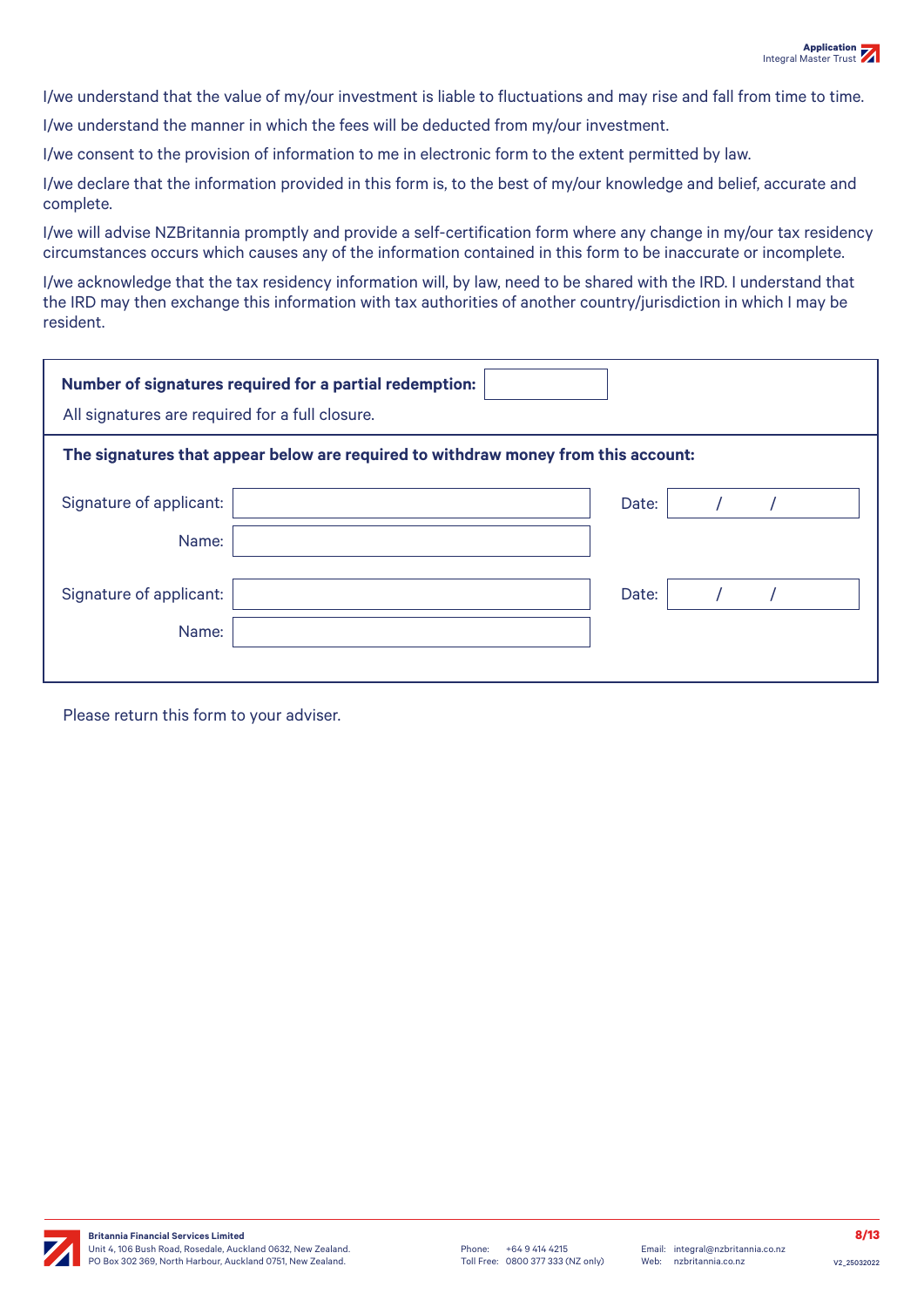I/we understand that the value of my/our investment is liable to fluctuations and may rise and fall from time to time.

I/we understand the manner in which the fees will be deducted from my/our investment.

I/we consent to the provision of information to me in electronic form to the extent permitted by law.

I/we declare that the information provided in this form is, to the best of my/our knowledge and belief, accurate and complete.

I/we will advise NZBritannia promptly and provide a self-certification form where any change in my/our tax residency circumstances occurs which causes any of the information contained in this form to be inaccurate or incomplete.

I/we acknowledge that the tax residency information will, by law, need to be shared with the IRD. I understand that the IRD may then exchange this information with tax authorities of another country/jurisdiction in which I may be resident.

| Number of signatures required for a partial redemption: |                                                                                    |  |       |  |  |  |  |
|---------------------------------------------------------|------------------------------------------------------------------------------------|--|-------|--|--|--|--|
| All signatures are required for a full closure.         |                                                                                    |  |       |  |  |  |  |
|                                                         | The signatures that appear below are required to withdraw money from this account: |  |       |  |  |  |  |
| Signature of applicant:                                 |                                                                                    |  | Date: |  |  |  |  |
| Name:                                                   |                                                                                    |  |       |  |  |  |  |
|                                                         |                                                                                    |  |       |  |  |  |  |
| Signature of applicant:                                 |                                                                                    |  | Date: |  |  |  |  |
| Name:                                                   |                                                                                    |  |       |  |  |  |  |
|                                                         |                                                                                    |  |       |  |  |  |  |

Please return this form to your adviser.

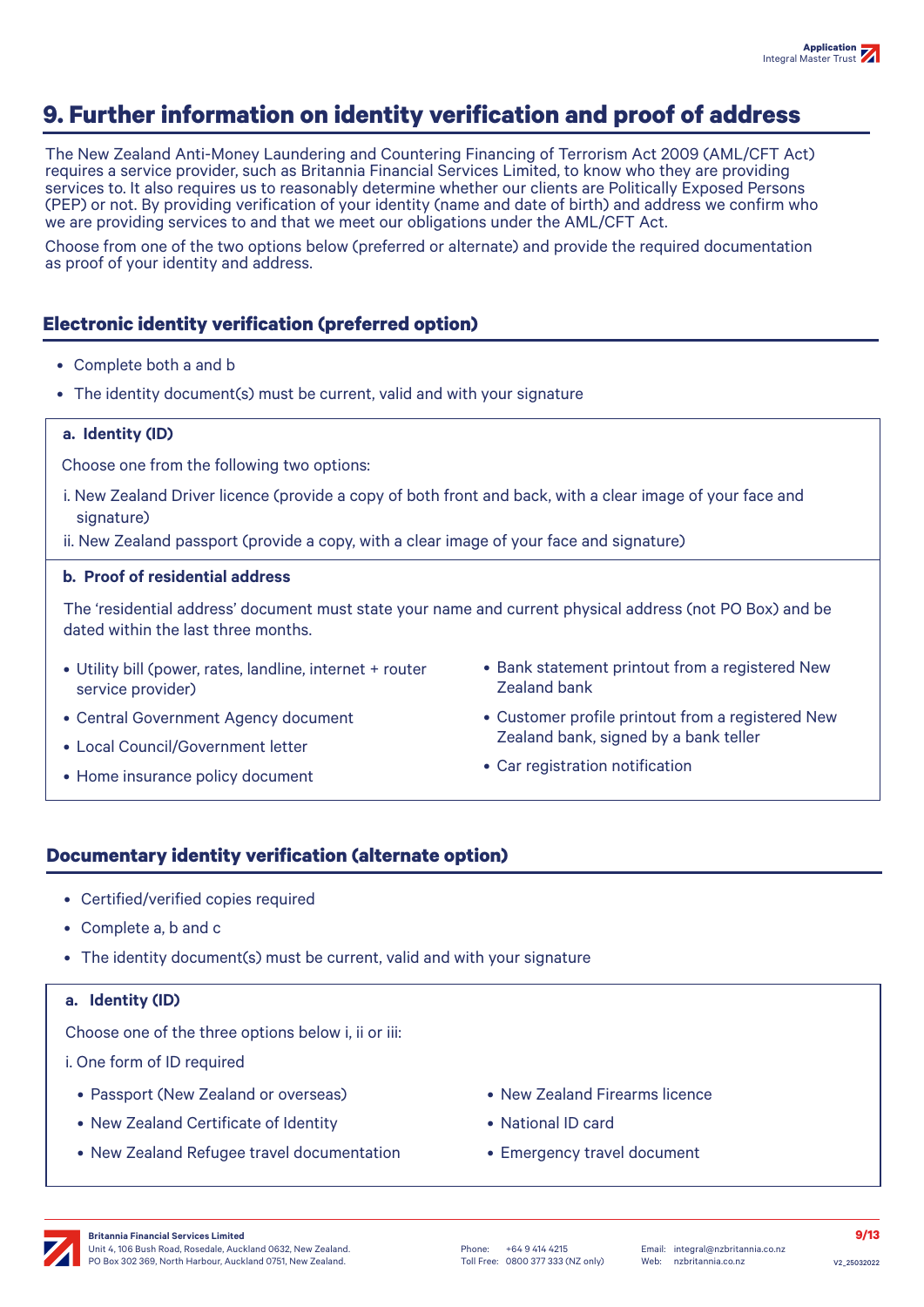# **9. Further information on identity verification and proof of address**

The New Zealand Anti-Money Laundering and Countering Financing of Terrorism Act 2009 (AML/CFT Act) requires a service provider, such as Britannia Financial Services Limited, to know who they are providing services to. It also requires us to reasonably determine whether our clients are Politically Exposed Persons (PEP) or not. By providing verification of your identity (name and date of birth) and address we confirm who we are providing services to and that we meet our obligations under the AML/CFT Act.

Choose from one of the two options below (preferred or alternate) and provide the required documentation as proof of your identity and address.

### **Electronic identity verification (preferred option)**

- Complete both a and b
- The identity document(s) must be current, valid and with your signature

#### **a. Identity (ID)**

Choose one from the following two options:

i. New Zealand Driver licence (provide a copy of both front and back, with a clear image of your face and signature)

ii. New Zealand passport (provide a copy, with a clear image of your face and signature)

#### **b. Proof of residential address**

The 'residential address' document must state your name and current physical address (not PO Box) and be dated within the last three months.

- Utility bill (power, rates, landline, internet + router service provider)
- Central Government Agency document
- Local Council/Government letter
- Home insurance policy document
- Bank statement printout from a registered New Zealand bank
- Customer profile printout from a registered New Zealand bank, signed by a bank teller
- Car registration notification

#### **Documentary identity verification (alternate option)**

- Certified/verified copies required
- Complete a, b and c
- The identity document(s) must be current, valid and with your signature

#### **a. Identity (ID)**

Choose one of the three options below i, ii or iii:

i. One form of ID required

- Passport (New Zealand or overseas)
- New Zealand Certificate of Identity
- New Zealand Refugee travel documentation
- New Zealand Firearms licence
- National ID card
- Emergency travel document

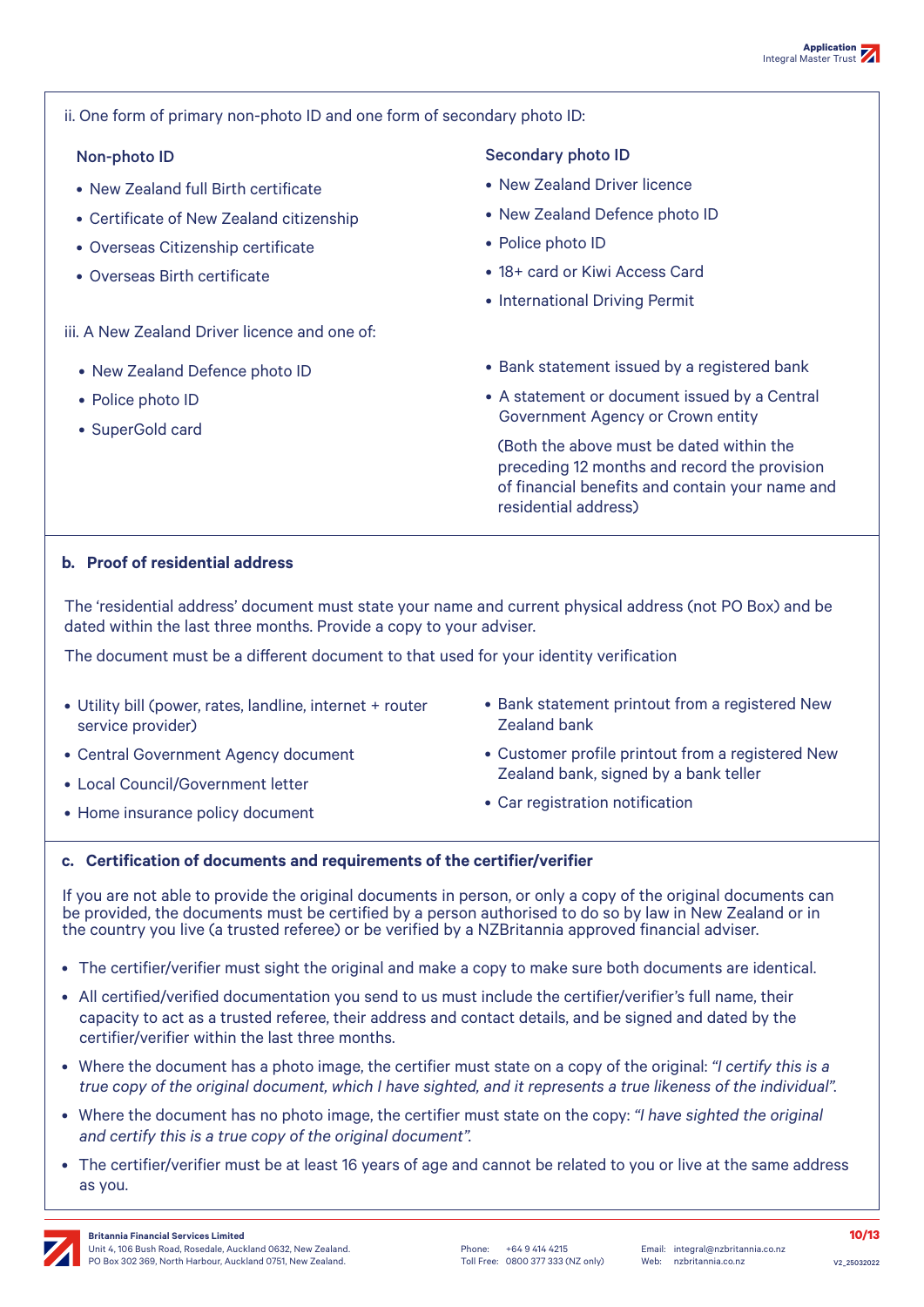ii. One form of primary non-photo ID and one form of secondary photo ID:

- New Zealand full Birth certificate
- Certificate of New Zealand citizenship
- Overseas Citizenship certificate
- Overseas Birth certificate

iii. A New Zealand Driver licence and one of:

- New Zealand Defence photo ID
- Police photo ID
- SuperGold card

#### Non-photo ID Secondary photo ID

- New Zealand Driver licence
- New Zealand Defence photo ID
- Police photo ID
- 18+ card or Kiwi Access Card
- International Driving Permit
- Bank statement issued by a registered bank
- A statement or document issued by a Central Government Agency or Crown entity

(Both the above must be dated within the preceding 12 months and record the provision of financial benefits and contain your name and residential address)

#### **b. Proof of residential address**

The 'residential address' document must state your name and current physical address (not PO Box) and be dated within the last three months. Provide a copy to your adviser.

The document must be a different document to that used for your identity verification

- Utility bill (power, rates, landline, internet + router service provider)
- Central Government Agency document
- Local Council/Government letter
- Home insurance policy document
- Bank statement printout from a registered New Zealand bank
- Customer profile printout from a registered New Zealand bank, signed by a bank teller
- Car registration notification

#### **c. Certification of documents and requirements of the certifier/verifier**

If you are not able to provide the original documents in person, or only a copy of the original documents can be provided, the documents must be certified by a person authorised to do so by law in New Zealand or in the country you live (a trusted referee) or be verified by a NZBritannia approved financial adviser.

- The certifier/verifier must sight the original and make a copy to make sure both documents are identical.
- All certified/verified documentation you send to us must include the certifier/verifier's full name, their capacity to act as a trusted referee, their address and contact details, and be signed and dated by the certifier/verifier within the last three months.
- Where the document has a photo image, the certifier must state on a copy of the original: *"I certify this is a true copy of the original document, which I have sighted, and it represents a true likeness of the individual".*
- Where the document has no photo image, the certifier must state on the copy: *"I have sighted the original and certify this is a true copy of the original document".*
- The certifier/verifier must be at least 16 years of age and cannot be related to you or live at the same address as you.

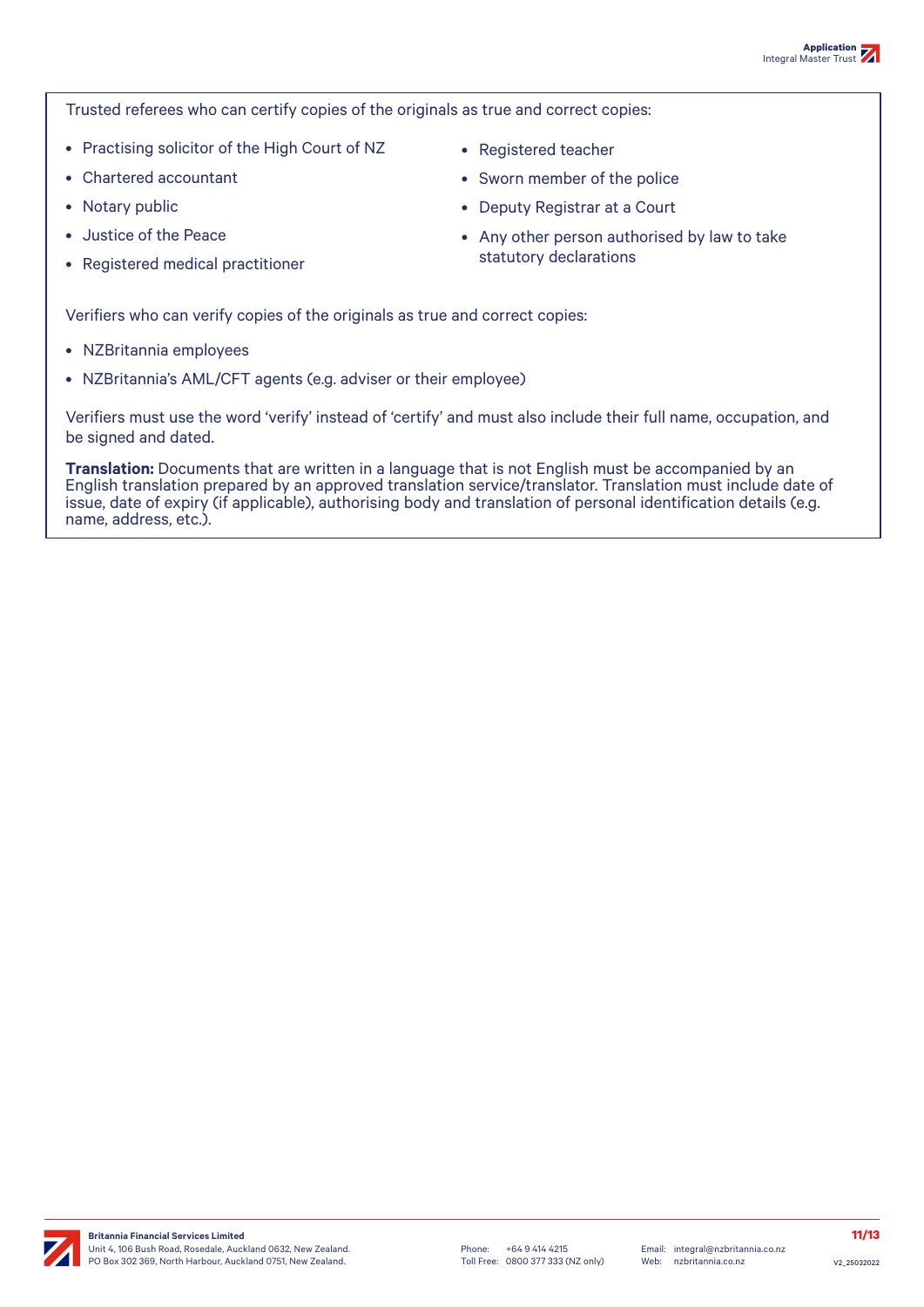Trusted referees who can certify copies of the originals as true and correct copies:

- Practising solicitor of the High Court of NZ
- Chartered accountant
- Notary public
- Justice of the Peace
- Registered medical practitioner
- Registered teacher
- Sworn member of the police
- Deputy Registrar at a Court
- Any other person authorised by law to take statutory declarations

Verifiers who can verify copies of the originals as true and correct copies:

- NZBritannia employees
- NZBritannia's AML/CFT agents (e.g. adviser or their employee)

Verifiers must use the word 'verify' instead of 'certify' and must also include their full name, occupation, and be signed and dated.

**Translation:** Documents that are written in a language that is not English must be accompanied by an English translation prepared by an approved translation service/translator. Translation must include date of issue, date of expiry (if applicable), authorising body and translation of personal identification details (e.g. name, address, etc.).

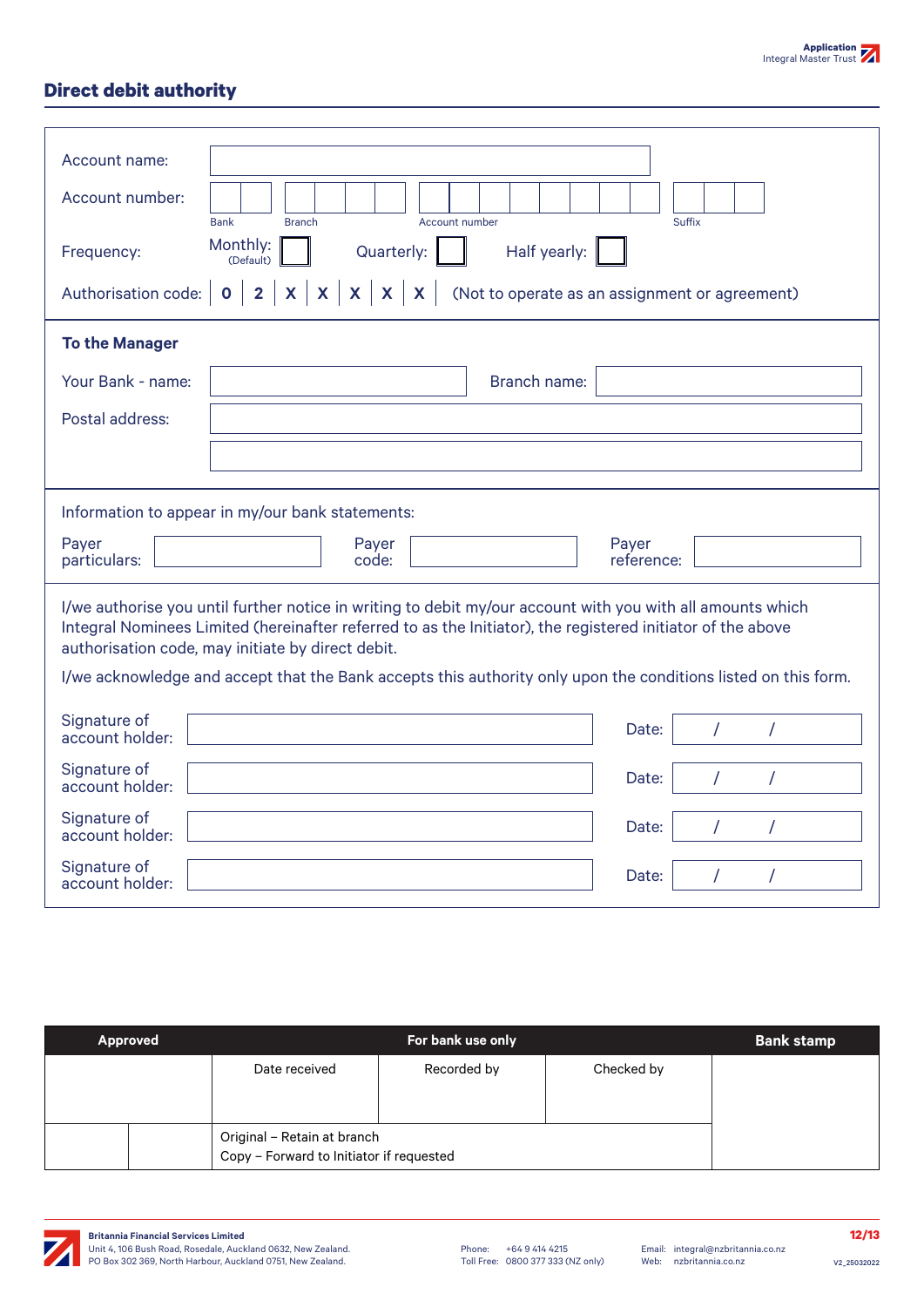### **Direct debit authority**

| Account name:<br>Account number:<br><b>Bank</b><br><b>Branch</b><br>Account number<br>Monthly:<br>Quarterly:<br>Half yearly:<br>Frequency:<br>(Default)<br>$X \mid X$<br>$\mathbf{x}$<br>$\overline{\mathbf{2}}$<br>$\mathbf{X}$<br>$\mathsf{X}^-$<br>(Not to operate as an assignment or agreement)<br>Authorisation code:<br>$\mathbf 0$ | Suffix               |  |  |  |
|--------------------------------------------------------------------------------------------------------------------------------------------------------------------------------------------------------------------------------------------------------------------------------------------------------------------------------------------|----------------------|--|--|--|
| <b>To the Manager</b><br>Your Bank - name:<br><b>Branch name:</b>                                                                                                                                                                                                                                                                          |                      |  |  |  |
| Postal address:                                                                                                                                                                                                                                                                                                                            |                      |  |  |  |
| Information to appear in my/our bank statements:<br>Payer<br>Payer<br>Payer<br>particulars:<br>reference:<br>code:                                                                                                                                                                                                                         |                      |  |  |  |
| I/we authorise you until further notice in writing to debit my/our account with you with all amounts which<br>Integral Nominees Limited (hereinafter referred to as the Initiator), the registered initiator of the above<br>authorisation code, may initiate by direct debit.                                                             |                      |  |  |  |
| I/we acknowledge and accept that the Bank accepts this authority only upon the conditions listed on this form.<br>Signature of<br>Date:<br>account holder:                                                                                                                                                                                 | $\prime$<br>$\prime$ |  |  |  |
| Signature of<br>Date:<br>account holder:                                                                                                                                                                                                                                                                                                   | 7<br>$\prime$        |  |  |  |
| Signature of<br>Date:<br>account holder:                                                                                                                                                                                                                                                                                                   | 7                    |  |  |  |
| Signature of<br>Date:<br>account holder:                                                                                                                                                                                                                                                                                                   | $\prime$<br>7        |  |  |  |

| Approved |                                                                         | For bank use only |            | <b>Bank stamp</b> |
|----------|-------------------------------------------------------------------------|-------------------|------------|-------------------|
|          | Date received                                                           | Recorded by       | Checked by |                   |
|          | Original - Retain at branch<br>Copy - Forward to Initiator if requested |                   |            |                   |